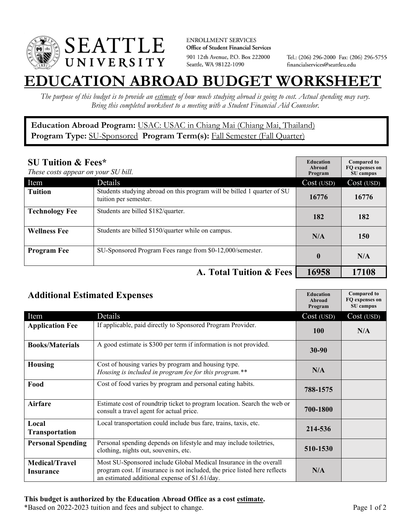

**ENROLLMENT SERVICES** Office of Student Financial Services 901 12th Avenue, P.O. Box 222000 Seattle, WA 98122-1090

Tel.: (206) 296-2000 Fax: (206) 296-5755 financialservices@seattleu.edu

## **EATION ABROAD BUDGET WORKSHEE**

*The purpose of this budget is to provide an estimate of how much studying abroad is going to cost. Actual spending may vary. Bring this completed worksheet to a meeting with a Student Financial Aid Counselor.* 

**Education Abroad Program:** USAC: USAC in Chiang Mai (Chiang Mai, Thailand) Program Type: **SU-Sponsored** Program Term(s): **Fall Semester (Fall Quarter)** 

| <b>SU Tuition &amp; Fees*</b><br>These costs appear on your SU bill. |                                                                                                  | <b>Education</b><br>Abroad<br>Program | <b>Compared to</b><br>FO expenses on<br>SU campus |
|----------------------------------------------------------------------|--------------------------------------------------------------------------------------------------|---------------------------------------|---------------------------------------------------|
| Item                                                                 | Details                                                                                          | Cost (USD)                            | Cost (USD)                                        |
| <b>Tuition</b>                                                       | Students studying abroad on this program will be billed 1 quarter of SU<br>tuition per semester. | 16776                                 | 16776                                             |
| <b>Technology Fee</b>                                                | Students are billed \$182/quarter.                                                               | 182                                   | 182                                               |
| <b>Wellness Fee</b>                                                  | Students are billed \$150/quarter while on campus.                                               | N/A                                   | 150                                               |
| <b>Program Fee</b>                                                   | SU-Sponsored Program Fees range from \$0-12,000/semester.                                        | $\boldsymbol{0}$                      | N/A                                               |
|                                                                      | A. Total Tuition & Fees                                                                          | 16958                                 | 17108                                             |

| <b>Additional Estimated Expenses</b> |                                                                                                                                                                                                   | <b>Education</b><br>Abroad<br>Program | <b>Compared to</b><br>FQ expenses on<br>SU campus |
|--------------------------------------|---------------------------------------------------------------------------------------------------------------------------------------------------------------------------------------------------|---------------------------------------|---------------------------------------------------|
| Item                                 | Details                                                                                                                                                                                           | Cost (USD)                            | Cost (USD)                                        |
| <b>Application Fee</b>               | If applicable, paid directly to Sponsored Program Provider.                                                                                                                                       | <b>100</b>                            | N/A                                               |
| <b>Books/Materials</b>               | A good estimate is \$300 per term if information is not provided.                                                                                                                                 | $30 - 90$                             |                                                   |
| <b>Housing</b>                       | Cost of housing varies by program and housing type.<br>Housing is included in program fee for this program.**                                                                                     | N/A                                   |                                                   |
| Food                                 | Cost of food varies by program and personal eating habits.                                                                                                                                        | 788-1575                              |                                                   |
| <b>Airfare</b>                       | Estimate cost of roundtrip ticket to program location. Search the web or<br>consult a travel agent for actual price.                                                                              | 700-1800                              |                                                   |
| Local<br><b>Transportation</b>       | Local transportation could include bus fare, trains, taxis, etc.                                                                                                                                  | 214-536                               |                                                   |
| <b>Personal Spending</b>             | Personal spending depends on lifestyle and may include toiletries,<br>clothing, nights out, souvenirs, etc.                                                                                       | 510-1530                              |                                                   |
| <b>Medical/Travel</b><br>Insurance   | Most SU-Sponsored include Global Medical Insurance in the overall<br>program cost. If insurance is not included, the price listed here reflects<br>an estimated additional expense of \$1.61/day. | N/A                                   |                                                   |

\*Based on 2022-2023 tuition and fees and subject to change. Page 1 of 2